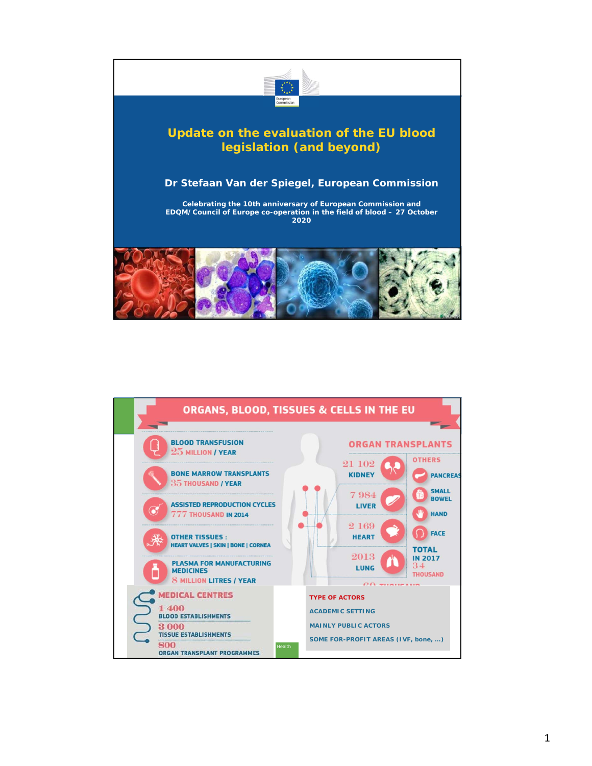

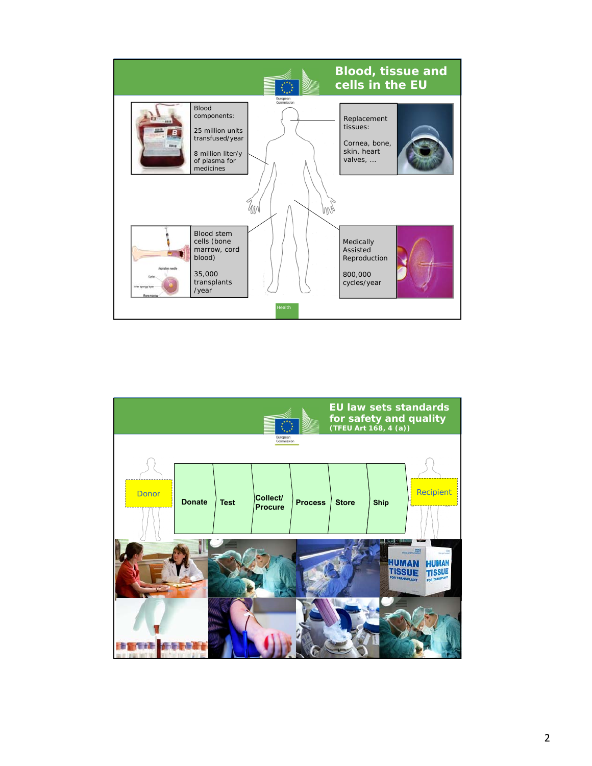

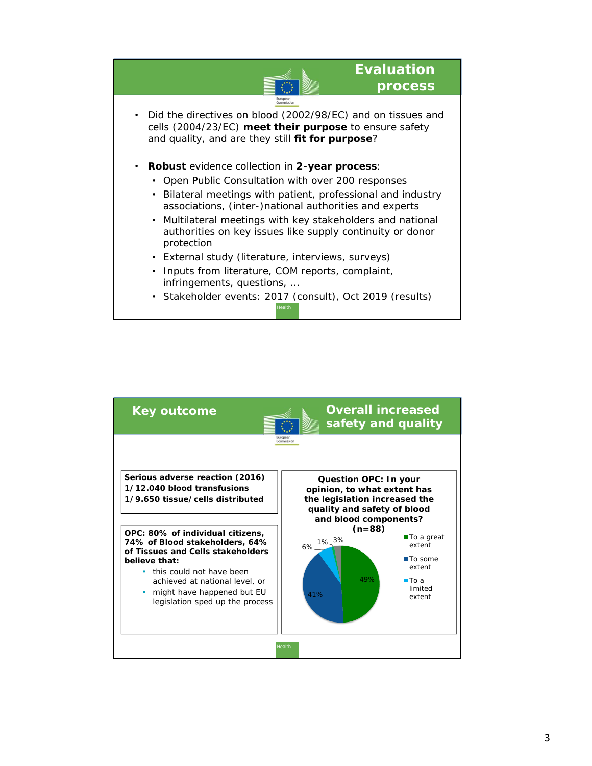

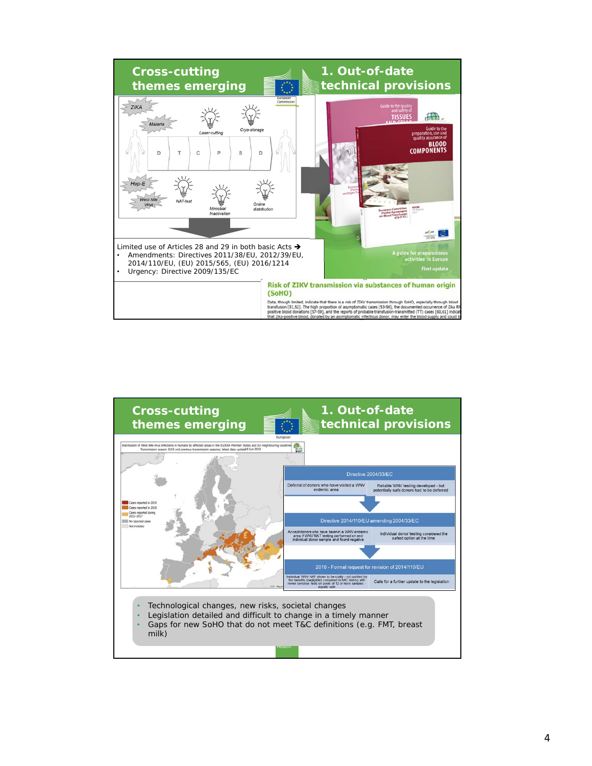

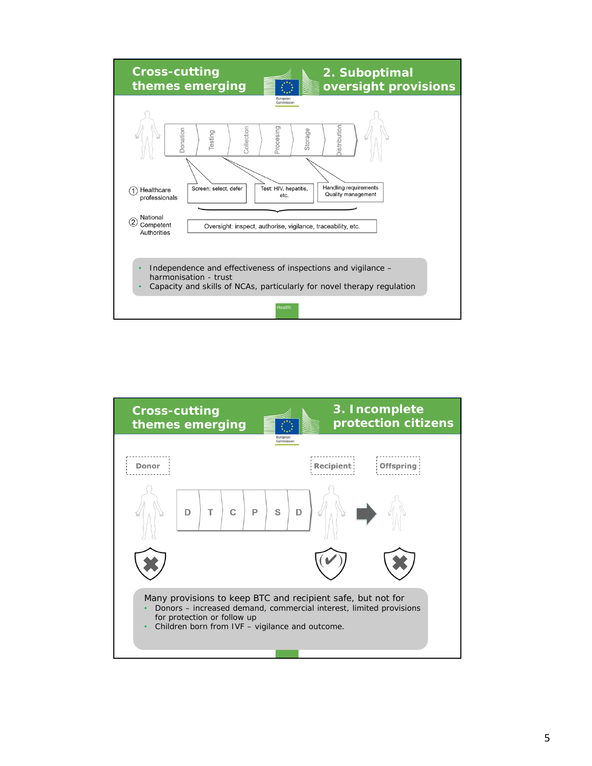

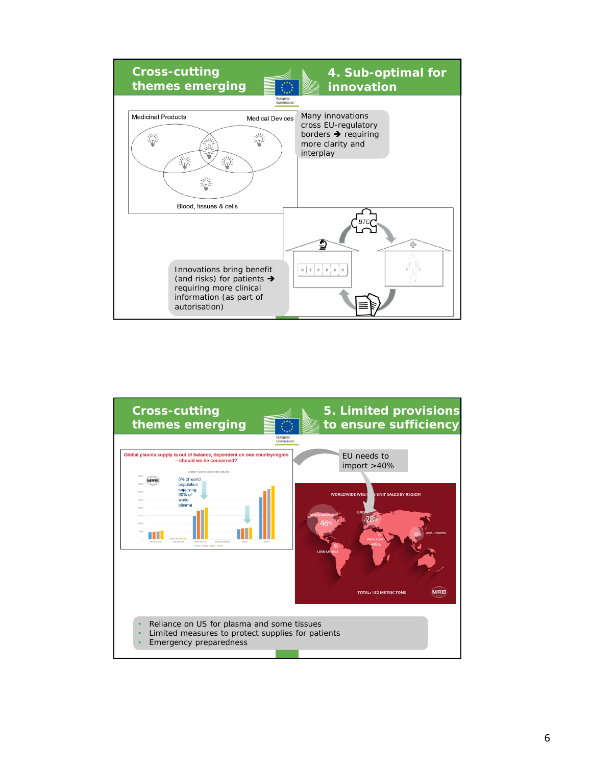

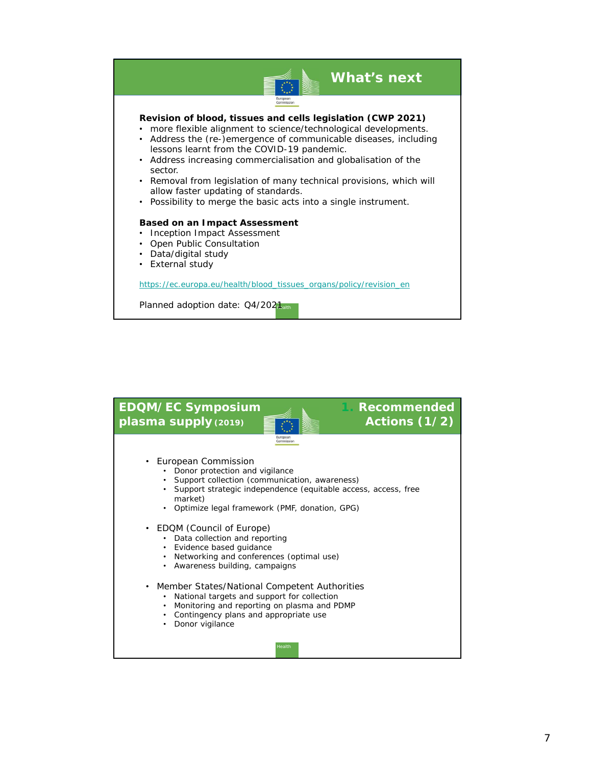